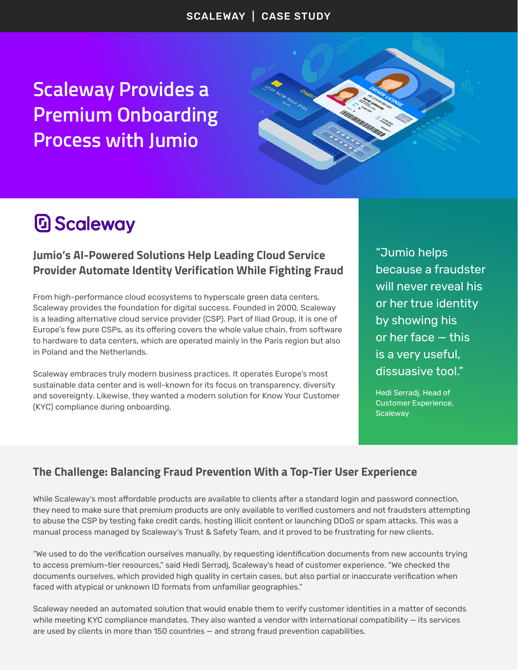**Scaleway Provides a Premium Onboarding Process with Jumio**



# **D** Scaleway

### **Jumio's AI-Powered Solutions Help Leading Cloud Service Provider Automate Identity Verification While Fighting Fraud**

From high-performance cloud ecosystems to hyperscale green data centers, Scaleway provides the foundation for digital success. Founded in 2000, Scaleway is a leading alternative cloud service provider (CSP). Part of Iliad Group, it is one of Europe's few pure CSPs, as its offering covers the whole value chain, from software to hardware to data centers, which are operated mainly in the Paris region but also in Poland and the Netherlands.

Scaleway embraces truly modern business practices. It operates Europe's most sustainable data center and is well-known for its focus on transparency, diversity and sovereignty. Likewise, they wanted a modern solution for Know Your Customer (KYC) compliance during onboarding.

"Jumio helps because a fraudster will never reveal his or her true identity by showing his or her face — this is a very useful, dissuasive tool."

Hedi Serradj, Head of Customer Experience, **Scaleway** 

### **The Challenge: Balancing Fraud Prevention With a Top-Tier User Experience**

While Scaleway's most affordable products are available to clients after a standard login and password connection, they need to make sure that premium products are only available to verified customers and not fraudsters attempting to abuse the CSP by testing fake credit cards, hosting illicit content or launching DDoS or spam attacks. This was a manual process managed by Scaleway's Trust & Safety Team, and it proved to be frustrating for new clients.

"We used to do the verification ourselves manually, by requesting identification documents from new accounts trying to access premium-tier resources," said Hedi Serradj, Scaleway's head of customer experience. "We checked the documents ourselves, which provided high quality in certain cases, but also partial or inaccurate verification when faced with atypical or unknown ID formats from unfamiliar geographies."

Scaleway needed an automated solution that would enable them to verify customer identities in a matter of seconds while meeting KYC compliance mandates. They also wanted a vendor with international compatibility — its services are used by clients in more than 150 countries — and strong fraud prevention capabilities.